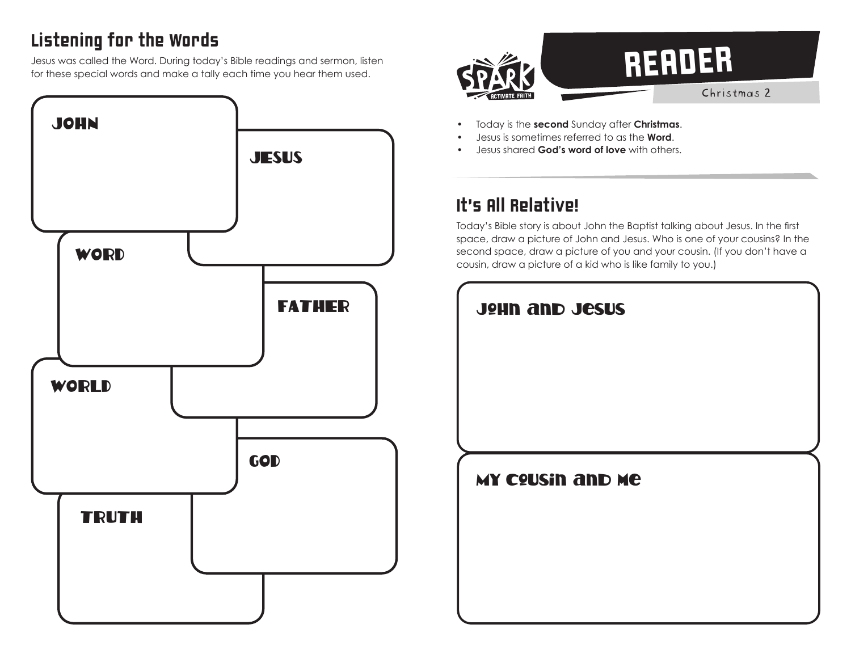# Listening for the Words

Jesus was called the Word. During today's Bible readings and sermon, listen for these special words and make a tally each time you hear them used.





- Today is the **second** Sunday after **Christmas**.
- Jesus is sometimes referred to as the **Word**.
- Jesus shared **God's word of love** with others.

## It's All Relative!

Today's Bible story is about John the Baptist talking about Jesus. In the first space, draw a picture of John and Jesus. Who is one of your cousins? In the second space, draw a picture of you and your cousin. (If you don't have a cousin, draw a picture of a kid who is like family to you.)

| <b>JOHN AND JESUS</b>   |  |
|-------------------------|--|
|                         |  |
|                         |  |
|                         |  |
| <b>MY COUSIN AND ME</b> |  |
|                         |  |